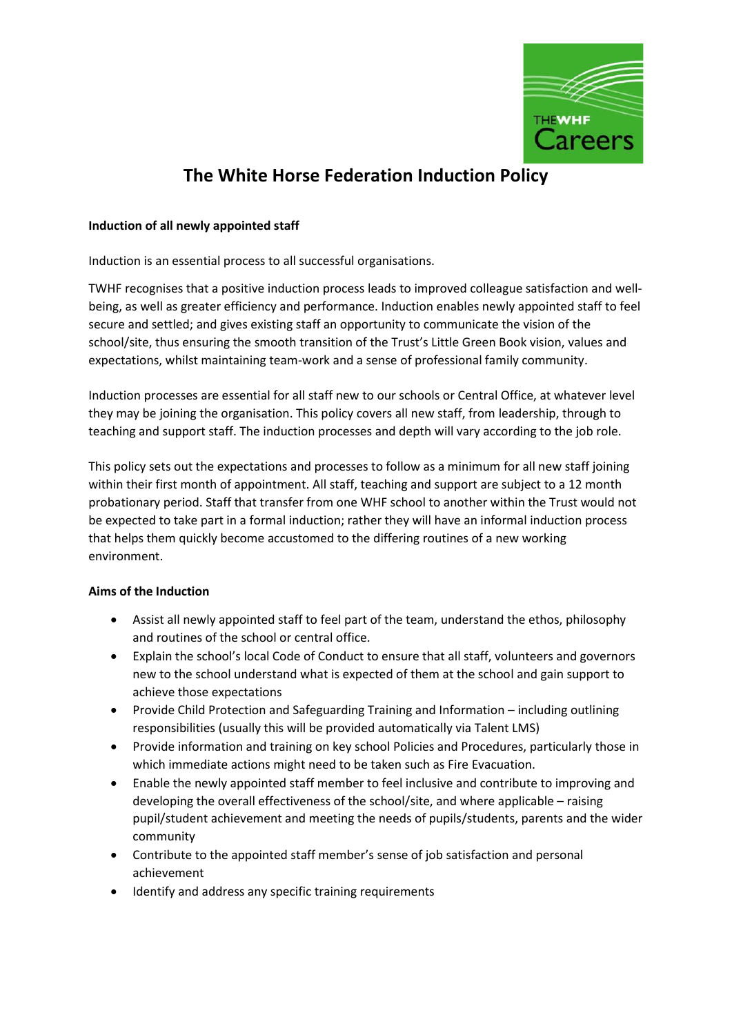

# **The White Horse Federation Induction Policy**

### **Induction of all newly appointed staff**

Induction is an essential process to all successful organisations.

TWHF recognises that a positive induction process leads to improved colleague satisfaction and wellbeing, as well as greater efficiency and performance. Induction enables newly appointed staff to feel secure and settled; and gives existing staff an opportunity to communicate the vision of the school/site, thus ensuring the smooth transition of the Trust's Little Green Book vision, values and expectations, whilst maintaining team-work and a sense of professional family community.

Induction processes are essential for all staff new to our schools or Central Office, at whatever level they may be joining the organisation. This policy covers all new staff, from leadership, through to teaching and support staff. The induction processes and depth will vary according to the job role.

This policy sets out the expectations and processes to follow as a minimum for all new staff joining within their first month of appointment. All staff, teaching and support are subject to a 12 month probationary period. Staff that transfer from one WHF school to another within the Trust would not be expected to take part in a formal induction; rather they will have an informal induction process that helps them quickly become accustomed to the differing routines of a new working environment.

## **Aims of the Induction**

- Assist all newly appointed staff to feel part of the team, understand the ethos, philosophy and routines of the school or central office.
- Explain the school's local Code of Conduct to ensure that all staff, volunteers and governors new to the school understand what is expected of them at the school and gain support to achieve those expectations
- Provide Child Protection and Safeguarding Training and Information including outlining responsibilities (usually this will be provided automatically via Talent LMS)
- Provide information and training on key school Policies and Procedures, particularly those in which immediate actions might need to be taken such as Fire Evacuation.
- Enable the newly appointed staff member to feel inclusive and contribute to improving and developing the overall effectiveness of the school/site, and where applicable – raising pupil/student achievement and meeting the needs of pupils/students, parents and the wider community
- Contribute to the appointed staff member's sense of job satisfaction and personal achievement
- Identify and address any specific training requirements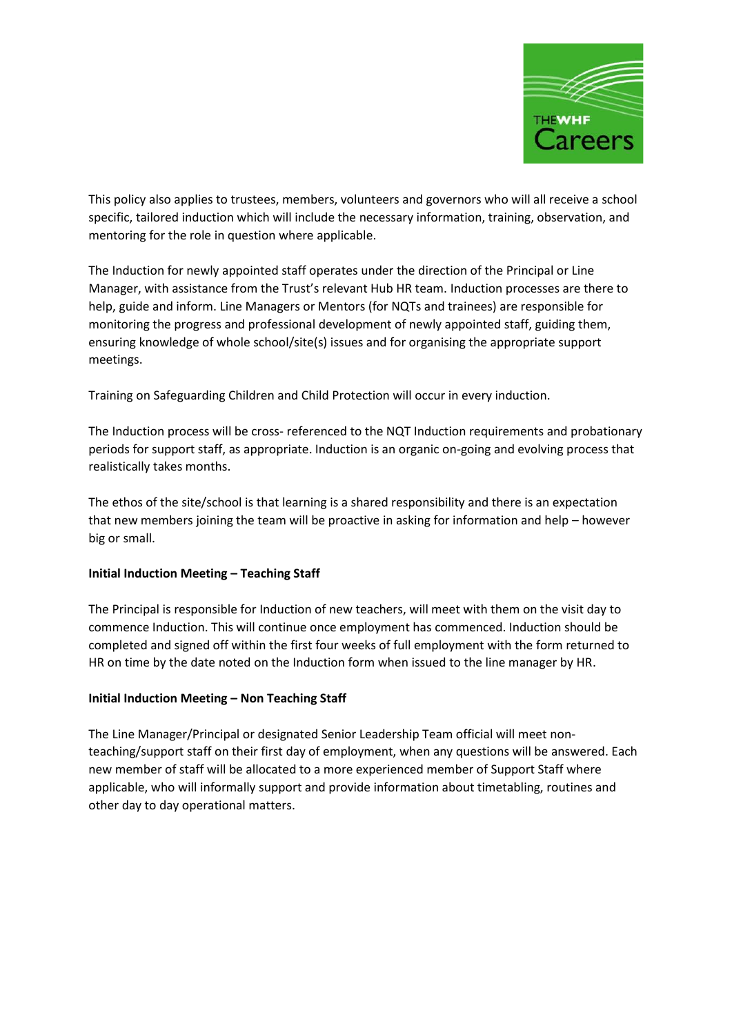

This policy also applies to trustees, members, volunteers and governors who will all receive a school specific, tailored induction which will include the necessary information, training, observation, and mentoring for the role in question where applicable.

The Induction for newly appointed staff operates under the direction of the Principal or Line Manager, with assistance from the Trust's relevant Hub HR team. Induction processes are there to help, guide and inform. Line Managers or Mentors (for NQTs and trainees) are responsible for monitoring the progress and professional development of newly appointed staff, guiding them, ensuring knowledge of whole school/site(s) issues and for organising the appropriate support meetings.

Training on Safeguarding Children and Child Protection will occur in every induction.

The Induction process will be cross- referenced to the NQT Induction requirements and probationary periods for support staff, as appropriate. Induction is an organic on-going and evolving process that realistically takes months.

The ethos of the site/school is that learning is a shared responsibility and there is an expectation that new members joining the team will be proactive in asking for information and help – however big or small.

#### **Initial Induction Meeting – Teaching Staff**

The Principal is responsible for Induction of new teachers, will meet with them on the visit day to commence Induction. This will continue once employment has commenced. Induction should be completed and signed off within the first four weeks of full employment with the form returned to HR on time by the date noted on the Induction form when issued to the line manager by HR.

#### **Initial Induction Meeting – Non Teaching Staff**

The Line Manager/Principal or designated Senior Leadership Team official will meet nonteaching/support staff on their first day of employment, when any questions will be answered. Each new member of staff will be allocated to a more experienced member of Support Staff where applicable, who will informally support and provide information about timetabling, routines and other day to day operational matters.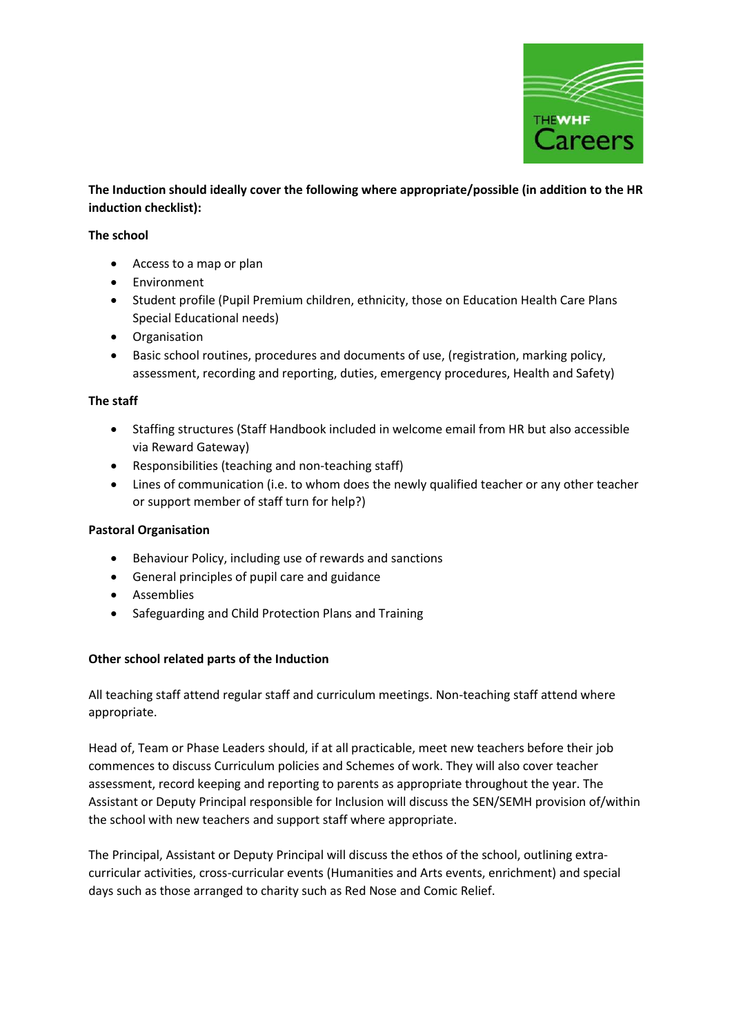

**The Induction should ideally cover the following where appropriate/possible (in addition to the HR induction checklist):**

#### **The school**

- Access to a map or plan
- Environment
- Student profile (Pupil Premium children, ethnicity, those on Education Health Care Plans Special Educational needs)
- Organisation
- Basic school routines, procedures and documents of use, (registration, marking policy, assessment, recording and reporting, duties, emergency procedures, Health and Safety)

#### **The staff**

- Staffing structures (Staff Handbook included in welcome email from HR but also accessible via Reward Gateway)
- Responsibilities (teaching and non-teaching staff)
- Lines of communication (i.e. to whom does the newly qualified teacher or any other teacher or support member of staff turn for help?)

#### **Pastoral Organisation**

- Behaviour Policy, including use of rewards and sanctions
- General principles of pupil care and guidance
- Assemblies
- Safeguarding and Child Protection Plans and Training

#### **Other school related parts of the Induction**

All teaching staff attend regular staff and curriculum meetings. Non-teaching staff attend where appropriate.

Head of, Team or Phase Leaders should, if at all practicable, meet new teachers before their job commences to discuss Curriculum policies and Schemes of work. They will also cover teacher assessment, record keeping and reporting to parents as appropriate throughout the year. The Assistant or Deputy Principal responsible for Inclusion will discuss the SEN/SEMH provision of/within the school with new teachers and support staff where appropriate.

The Principal, Assistant or Deputy Principal will discuss the ethos of the school, outlining extracurricular activities, cross-curricular events (Humanities and Arts events, enrichment) and special days such as those arranged to charity such as Red Nose and Comic Relief.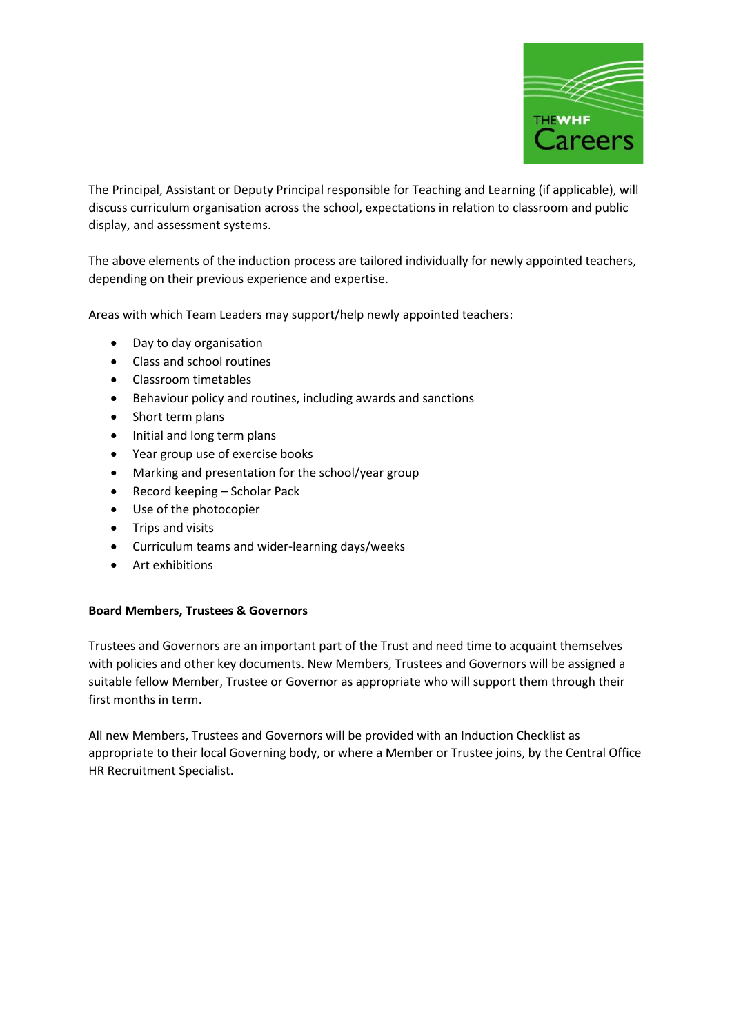

The Principal, Assistant or Deputy Principal responsible for Teaching and Learning (if applicable), will discuss curriculum organisation across the school, expectations in relation to classroom and public display, and assessment systems.

The above elements of the induction process are tailored individually for newly appointed teachers, depending on their previous experience and expertise.

Areas with which Team Leaders may support/help newly appointed teachers:

- Day to day organisation
- Class and school routines
- Classroom timetables
- Behaviour policy and routines, including awards and sanctions
- Short term plans
- Initial and long term plans
- Year group use of exercise books
- Marking and presentation for the school/year group
- Record keeping Scholar Pack
- Use of the photocopier
- Trips and visits
- Curriculum teams and wider-learning days/weeks
- Art exhibitions

#### **Board Members, Trustees & Governors**

Trustees and Governors are an important part of the Trust and need time to acquaint themselves with policies and other key documents. New Members, Trustees and Governors will be assigned a suitable fellow Member, Trustee or Governor as appropriate who will support them through their first months in term.

All new Members, Trustees and Governors will be provided with an Induction Checklist as appropriate to their local Governing body, or where a Member or Trustee joins, by the Central Office HR Recruitment Specialist.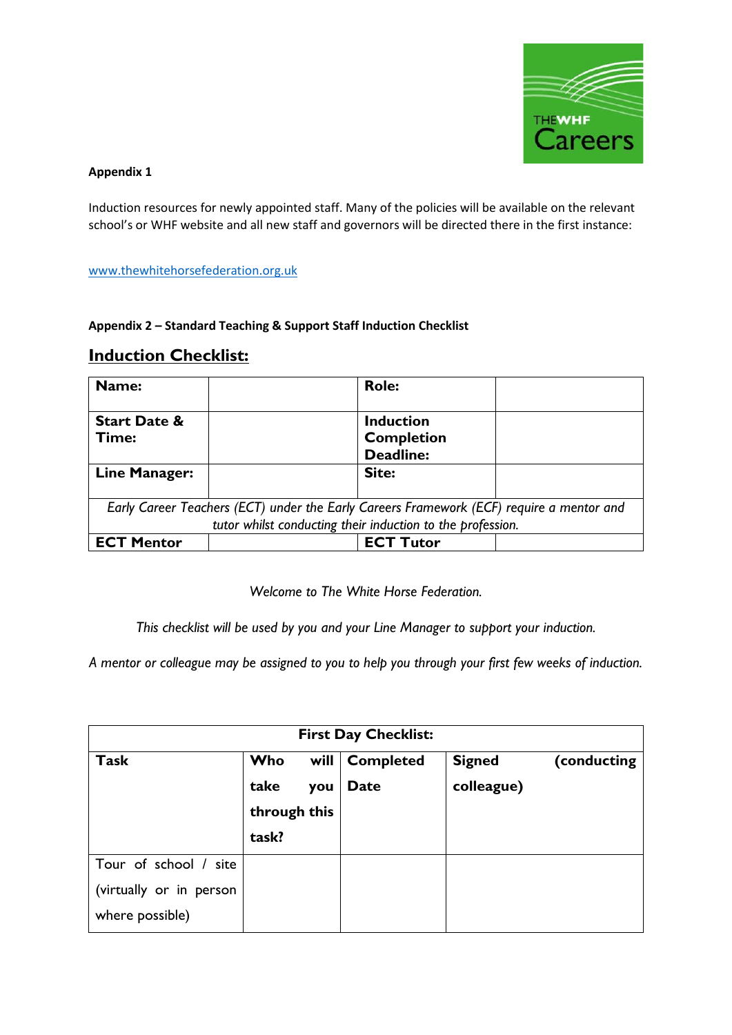

# **Appendix 1**

Induction resources for newly appointed staff. Many of the policies will be available on the relevant school's or WHF website and all new staff and governors will be directed there in the first instance:

## [www.thewhitehorsefederation.org.uk](http://www.thewhitehorsefederation.org.uk/)

## **Appendix 2 – Standard Teaching & Support Staff Induction Checklist**

# **Induction Checklist:**

| Name:                   |                                                                                          | <b>Role:</b>      |  |
|-------------------------|------------------------------------------------------------------------------------------|-------------------|--|
|                         |                                                                                          |                   |  |
| <b>Start Date &amp;</b> |                                                                                          | <b>Induction</b>  |  |
| Time:                   |                                                                                          | <b>Completion</b> |  |
|                         |                                                                                          | <b>Deadline:</b>  |  |
| Line Manager:           |                                                                                          | Site:             |  |
|                         |                                                                                          |                   |  |
|                         | Early Career Teachers (ECT) under the Early Careers Framework (ECF) require a mentor and |                   |  |
|                         | tutor whilst conducting their induction to the profession.                               |                   |  |
| <b>ECT Mentor</b>       |                                                                                          | <b>ECT Tutor</b>  |  |

*Welcome to The White Horse Federation.*

*This checklist will be used by you and your Line Manager to support your induction.*

*A mentor or colleague may be assigned to you to help you through your first few weeks of induction.*

| <b>First Day Checklist:</b>                                         |                                             |                          |                             |             |  |  |
|---------------------------------------------------------------------|---------------------------------------------|--------------------------|-----------------------------|-------------|--|--|
| <b>Task</b>                                                         | Who<br>take<br>you<br>through this<br>task? | will   Completed<br>Date | <b>Signed</b><br>colleague) | (conducting |  |  |
| Tour of school / site<br>(virtually or in person<br>where possible) |                                             |                          |                             |             |  |  |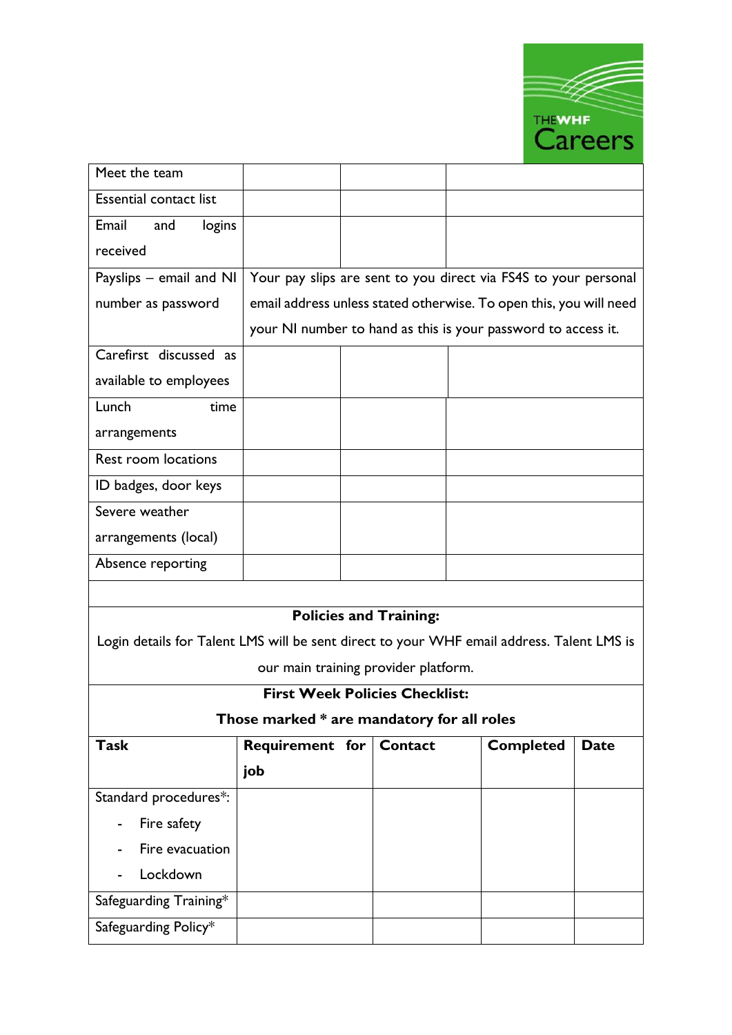

| Meet the team                                                                             |                                                                    |  |                               |  |                  |             |
|-------------------------------------------------------------------------------------------|--------------------------------------------------------------------|--|-------------------------------|--|------------------|-------------|
| <b>Essential contact list</b>                                                             |                                                                    |  |                               |  |                  |             |
| Email<br>logins<br>and                                                                    |                                                                    |  |                               |  |                  |             |
| received                                                                                  |                                                                    |  |                               |  |                  |             |
| Payslips - email and NI                                                                   | Your pay slips are sent to you direct via FS4S to your personal    |  |                               |  |                  |             |
| number as password                                                                        | email address unless stated otherwise. To open this, you will need |  |                               |  |                  |             |
|                                                                                           | your NI number to hand as this is your password to access it.      |  |                               |  |                  |             |
| Carefirst discussed as                                                                    |                                                                    |  |                               |  |                  |             |
| available to employees                                                                    |                                                                    |  |                               |  |                  |             |
| Lunch<br>time                                                                             |                                                                    |  |                               |  |                  |             |
| arrangements                                                                              |                                                                    |  |                               |  |                  |             |
| Rest room locations                                                                       |                                                                    |  |                               |  |                  |             |
| ID badges, door keys                                                                      |                                                                    |  |                               |  |                  |             |
| Severe weather                                                                            |                                                                    |  |                               |  |                  |             |
| arrangements (local)                                                                      |                                                                    |  |                               |  |                  |             |
| Absence reporting                                                                         |                                                                    |  |                               |  |                  |             |
|                                                                                           |                                                                    |  |                               |  |                  |             |
|                                                                                           |                                                                    |  | <b>Policies and Training:</b> |  |                  |             |
| Login details for Talent LMS will be sent direct to your WHF email address. Talent LMS is |                                                                    |  |                               |  |                  |             |
| our main training provider platform.                                                      |                                                                    |  |                               |  |                  |             |
| <b>First Week Policies Checklist:</b>                                                     |                                                                    |  |                               |  |                  |             |
|                                                                                           | Those marked * are mandatory for all roles                         |  |                               |  |                  |             |
| <b>Task</b>                                                                               | Requirement for   Contact                                          |  |                               |  | <b>Completed</b> | <b>Date</b> |
|                                                                                           | job                                                                |  |                               |  |                  |             |
| Standard procedures*:                                                                     |                                                                    |  |                               |  |                  |             |

- Fire safety

- Lockdown

Safeguarding Training\*

Safeguarding Policy\*

- Fire evacuation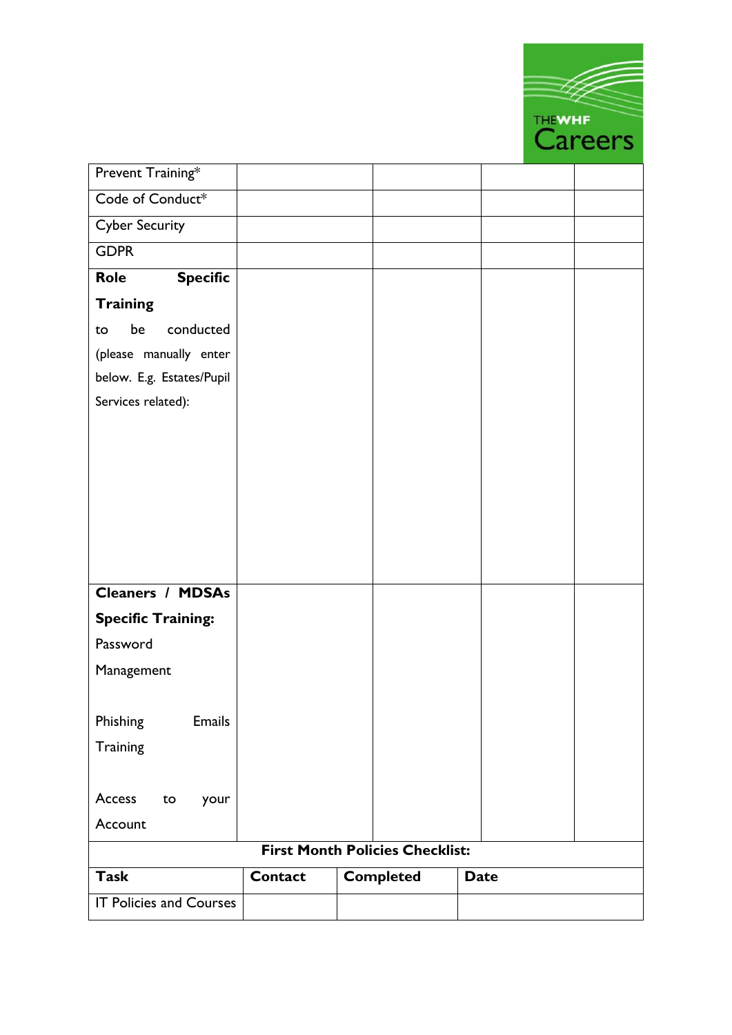|                                |                |                                        |             | <b>THEWHE</b> |                |
|--------------------------------|----------------|----------------------------------------|-------------|---------------|----------------|
|                                |                |                                        |             |               | <b>Careers</b> |
| Prevent Training*              |                |                                        |             |               |                |
| Code of Conduct*               |                |                                        |             |               |                |
| <b>Cyber Security</b>          |                |                                        |             |               |                |
| <b>GDPR</b>                    |                |                                        |             |               |                |
| <b>Specific</b><br><b>Role</b> |                |                                        |             |               |                |
| <b>Training</b>                |                |                                        |             |               |                |
| conducted<br>be<br>to          |                |                                        |             |               |                |
| (please manually enter         |                |                                        |             |               |                |
| below. E.g. Estates/Pupil      |                |                                        |             |               |                |
| Services related):             |                |                                        |             |               |                |
|                                |                |                                        |             |               |                |
|                                |                |                                        |             |               |                |
|                                |                |                                        |             |               |                |
|                                |                |                                        |             |               |                |
|                                |                |                                        |             |               |                |
|                                |                |                                        |             |               |                |
|                                |                |                                        |             |               |                |
| <b>Cleaners / MDSAs</b>        |                |                                        |             |               |                |
| <b>Specific Training:</b>      |                |                                        |             |               |                |
| Password                       |                |                                        |             |               |                |
| Management                     |                |                                        |             |               |                |
|                                |                |                                        |             |               |                |
| Phishing<br><b>Emails</b>      |                |                                        |             |               |                |
| Training                       |                |                                        |             |               |                |
|                                |                |                                        |             |               |                |
| Access<br>to<br>your           |                |                                        |             |               |                |
| Account                        |                |                                        |             |               |                |
|                                |                | <b>First Month Policies Checklist:</b> |             |               |                |
| <b>Task</b>                    |                |                                        |             |               |                |
|                                | <b>Contact</b> | <b>Completed</b>                       | <b>Date</b> |               |                |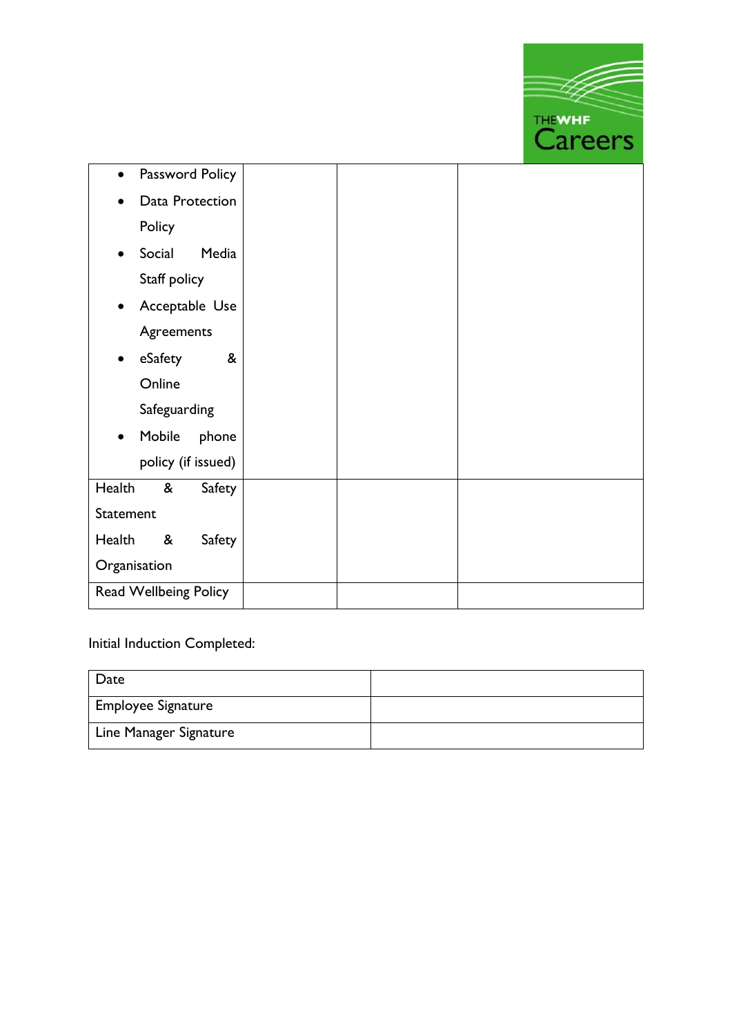

| Password Policy<br>$\bullet$ |  |  |
|------------------------------|--|--|
| Data Protection<br>$\bullet$ |  |  |
| Policy                       |  |  |
| Social<br>Media              |  |  |
| Staff policy                 |  |  |
| Acceptable Use<br>$\bullet$  |  |  |
| Agreements                   |  |  |
| &<br>eSafety<br>$\bullet$    |  |  |
| Online                       |  |  |
| Safeguarding                 |  |  |
| Mobile<br>phone<br>$\bullet$ |  |  |
| policy (if issued)           |  |  |
| Health<br>&<br>Safety        |  |  |
| Statement                    |  |  |
| Health<br>&<br>Safety        |  |  |
| Organisation                 |  |  |
| Read Wellbeing Policy        |  |  |

# Initial Induction Completed:

| Date                      |  |
|---------------------------|--|
| <b>Employee Signature</b> |  |
| Line Manager Signature    |  |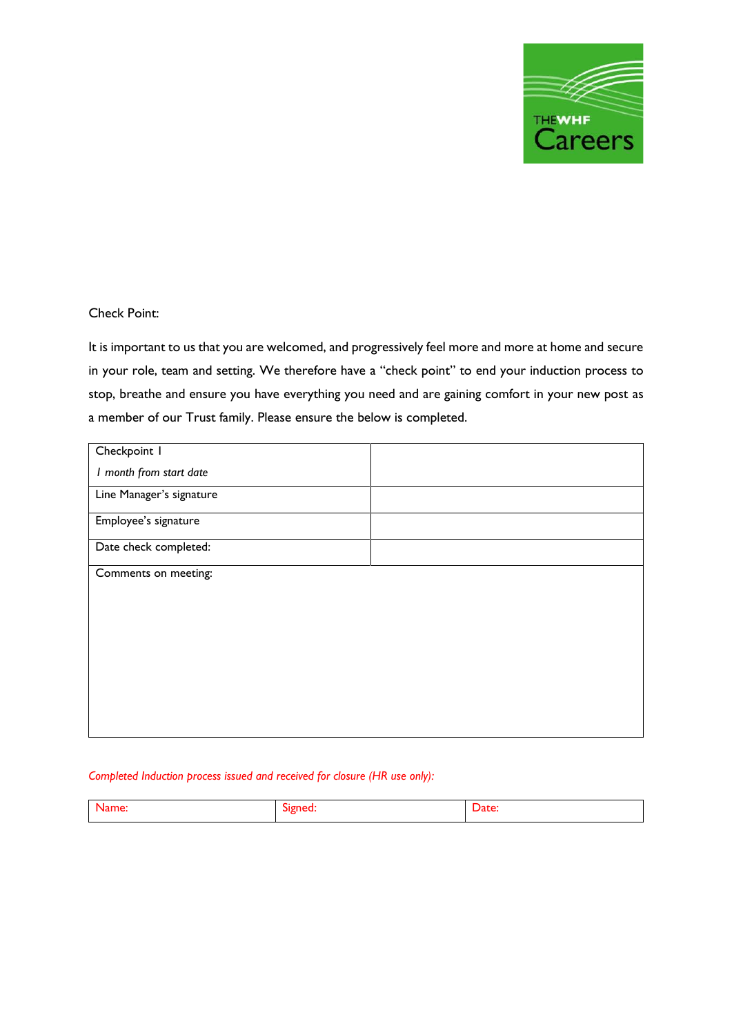

## Check Point:

It is important to us that you are welcomed, and progressively feel more and more at home and secure in your role, team and setting. We therefore have a "check point" to end your induction process to stop, breathe and ensure you have everything you need and are gaining comfort in your new post as a member of our Trust family. Please ensure the below is completed.

| Checkpoint I             |  |
|--------------------------|--|
| I month from start date  |  |
| Line Manager's signature |  |
| Employee's signature     |  |
| Date check completed:    |  |
| Comments on meeting:     |  |
|                          |  |
|                          |  |
|                          |  |
|                          |  |
|                          |  |
|                          |  |
|                          |  |

#### *Completed Induction process issued and received for closure (HR use only):*

| - |  |
|---|--|
|   |  |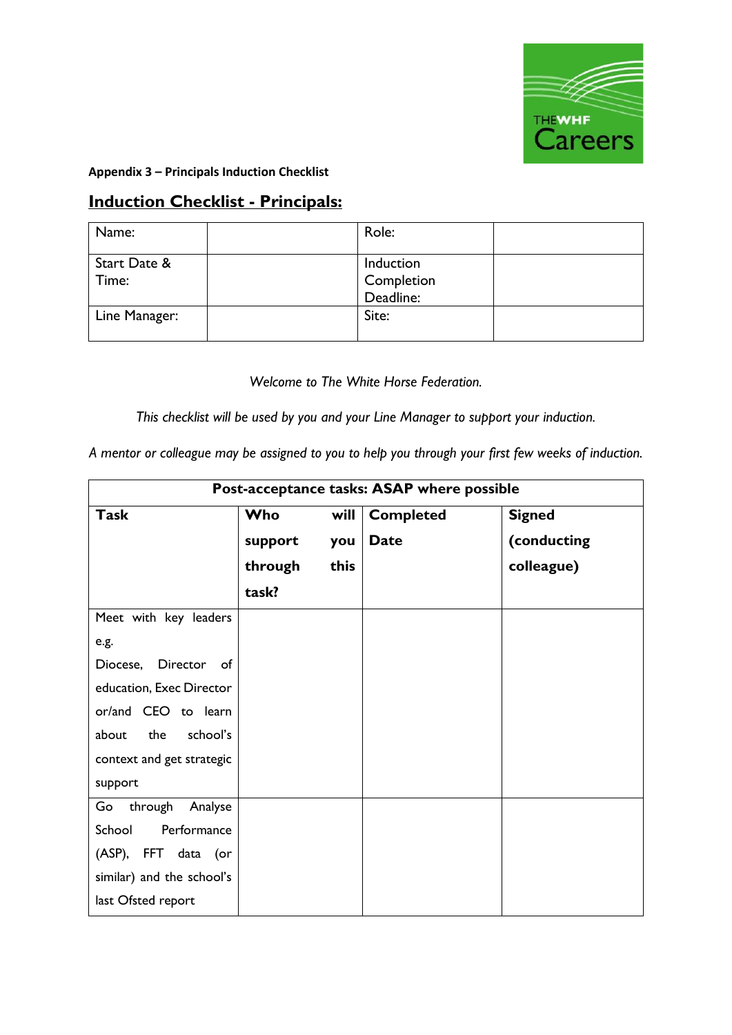

**Appendix 3 – Principals Induction Checklist**

# **Induction Checklist - Principals:**

| Name:         | Role:      |  |
|---------------|------------|--|
| Start Date &  | Induction  |  |
| Time:         | Completion |  |
|               | Deadline:  |  |
| Line Manager: | Site:      |  |
|               |            |  |

*Welcome to The White Horse Federation.*

*This checklist will be used by you and your Line Manager to support your induction.*

*A mentor or colleague may be assigned to you to help you through your first few weeks of induction.*

|                           | Post-acceptance tasks: ASAP where possible |      |                  |               |  |
|---------------------------|--------------------------------------------|------|------------------|---------------|--|
| <b>Task</b>               | Who                                        | will | <b>Completed</b> | <b>Signed</b> |  |
|                           | support                                    | you  | <b>Date</b>      | (conducting   |  |
|                           | through                                    | this |                  | colleague)    |  |
|                           | task?                                      |      |                  |               |  |
| Meet with key leaders     |                                            |      |                  |               |  |
| e.g.                      |                                            |      |                  |               |  |
| Diocese, Director of      |                                            |      |                  |               |  |
| education, Exec Director  |                                            |      |                  |               |  |
| or/and CEO to learn       |                                            |      |                  |               |  |
| the<br>school's<br>about  |                                            |      |                  |               |  |
| context and get strategic |                                            |      |                  |               |  |
| support                   |                                            |      |                  |               |  |
| Go<br>through Analyse     |                                            |      |                  |               |  |
| School<br>Performance     |                                            |      |                  |               |  |
| (ASP), FFT data (or       |                                            |      |                  |               |  |
| similar) and the school's |                                            |      |                  |               |  |
| last Ofsted report        |                                            |      |                  |               |  |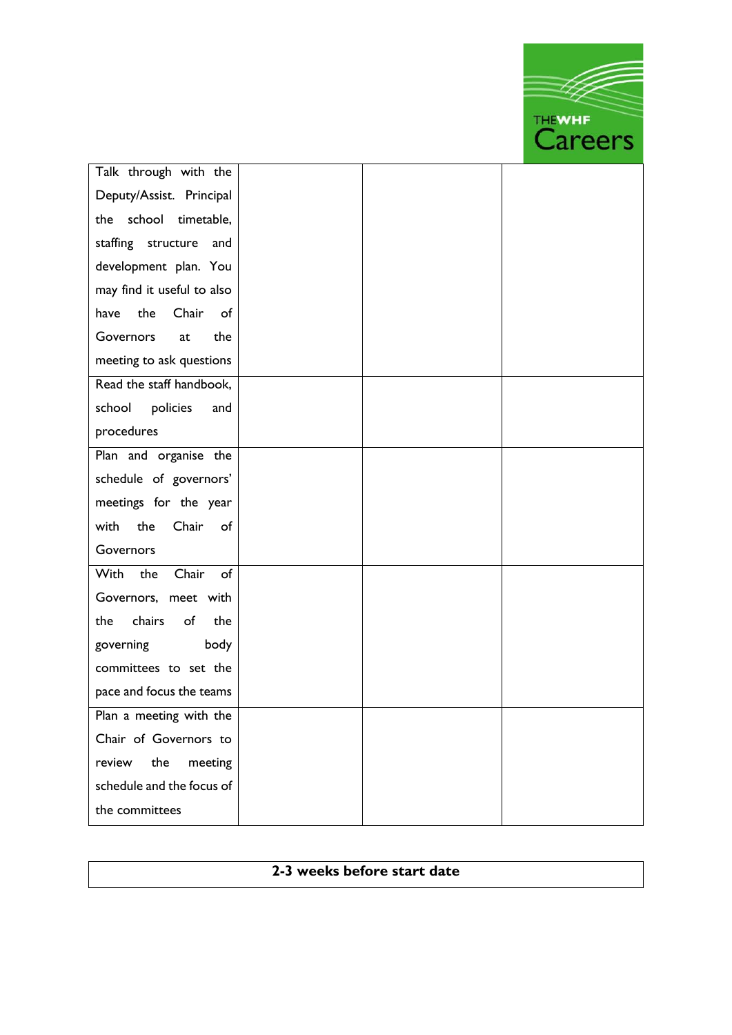THEWHE Talk through with the Deputy/Assist. Principal the school timetable, staffing structure and development plan. You may find it useful to also have the Chair of Governors at the meeting to ask questions Read the staff handbook, school policies and procedures Plan and organise the schedule of governors' meetings for the year with the Chair of Governors With the Chair of Governors, meet with the chairs of the governing body committees to set the pace and focus the teams Plan a meeting with the Chair of Governors to review the meeting schedule and the focus of the committees

# **2-3 weeks before start date**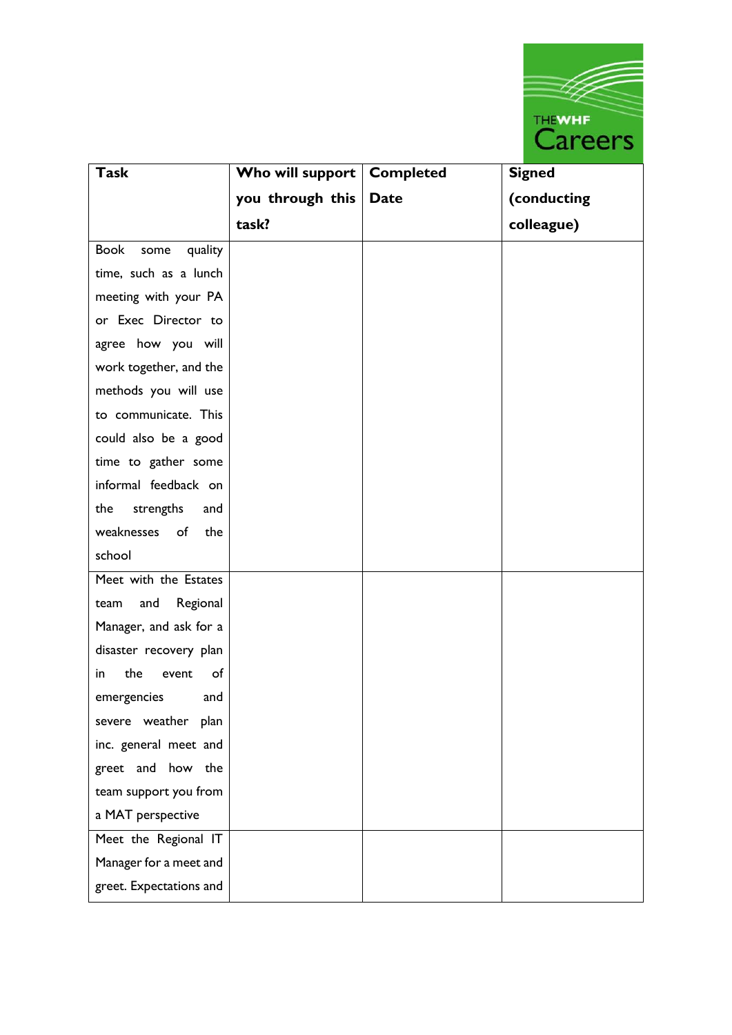

| <b>Task</b>                    | Who will support | <b>Completed</b> | <b>Signed</b> |
|--------------------------------|------------------|------------------|---------------|
|                                | you through this | <b>Date</b>      | (conducting   |
|                                | task?            |                  | colleague)    |
| <b>Book</b><br>quality<br>some |                  |                  |               |
| time, such as a lunch          |                  |                  |               |
| meeting with your PA           |                  |                  |               |
| or Exec Director to            |                  |                  |               |
| agree how you will             |                  |                  |               |
| work together, and the         |                  |                  |               |
| methods you will use           |                  |                  |               |
| to communicate. This           |                  |                  |               |
| could also be a good           |                  |                  |               |
| time to gather some            |                  |                  |               |
| informal feedback on           |                  |                  |               |
| strengths<br>the<br>and        |                  |                  |               |
| weaknesses<br>of<br>the        |                  |                  |               |
| school                         |                  |                  |               |
| Meet with the Estates          |                  |                  |               |
| Regional<br>and<br>team        |                  |                  |               |
| Manager, and ask for a         |                  |                  |               |
| disaster recovery plan         |                  |                  |               |
| the<br>of<br>in<br>event       |                  |                  |               |
| emergencies<br>and             |                  |                  |               |
| severe weather plan            |                  |                  |               |
| inc. general meet and          |                  |                  |               |
| greet and how the              |                  |                  |               |
| team support you from          |                  |                  |               |
| a MAT perspective              |                  |                  |               |
| Meet the Regional IT           |                  |                  |               |
| Manager for a meet and         |                  |                  |               |
| greet. Expectations and        |                  |                  |               |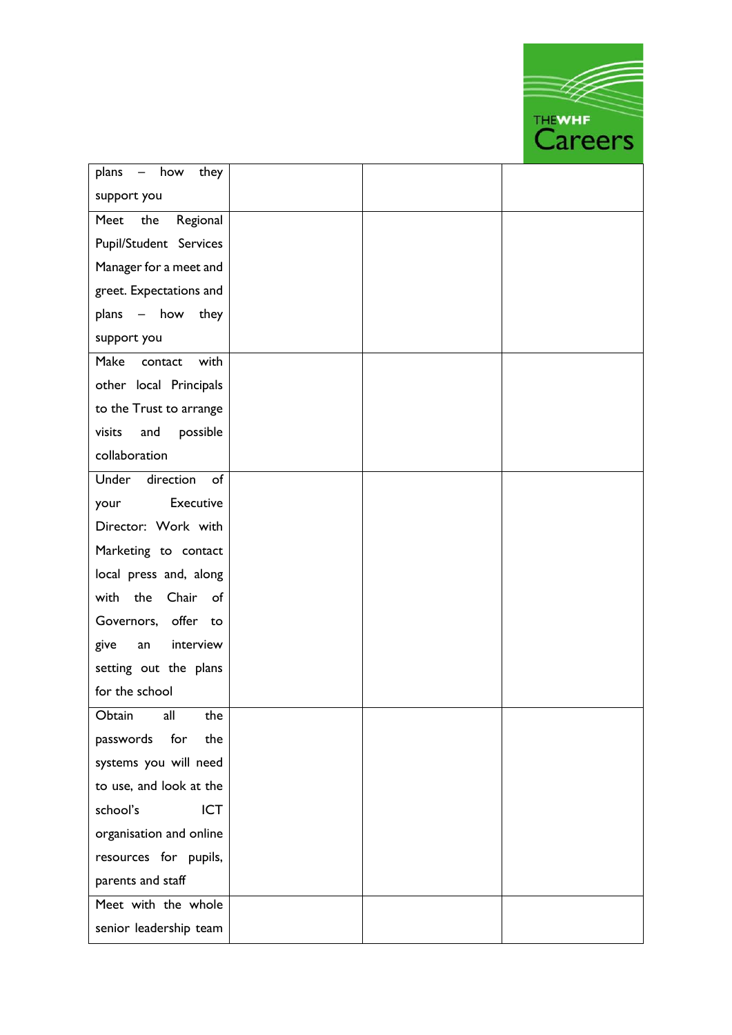THEWHE

| plans - how<br>they       |  |  |
|---------------------------|--|--|
| support you               |  |  |
| Meet<br>the<br>Regional   |  |  |
| Pupil/Student Services    |  |  |
| Manager for a meet and    |  |  |
| greet. Expectations and   |  |  |
| plans - how they          |  |  |
| support you               |  |  |
| Make<br>with<br>contact   |  |  |
| other local Principals    |  |  |
| to the Trust to arrange   |  |  |
| visits<br>possible<br>and |  |  |
| collaboration             |  |  |
| Under<br>direction<br>of  |  |  |
| Executive<br>your         |  |  |
| Director: Work with       |  |  |
| Marketing to contact      |  |  |
| local press and, along    |  |  |
| Chair of<br>with the      |  |  |
| Governors, offer to       |  |  |
| interview<br>give<br>an   |  |  |
| setting out the plans     |  |  |
| for the school            |  |  |
| all<br>Obtain<br>the      |  |  |
| passwords for<br>the      |  |  |
| systems you will need     |  |  |
| to use, and look at the   |  |  |
| <b>ICT</b><br>school's    |  |  |
| organisation and online   |  |  |
| resources for pupils,     |  |  |
| parents and staff         |  |  |
| Meet with the whole       |  |  |
| senior leadership team    |  |  |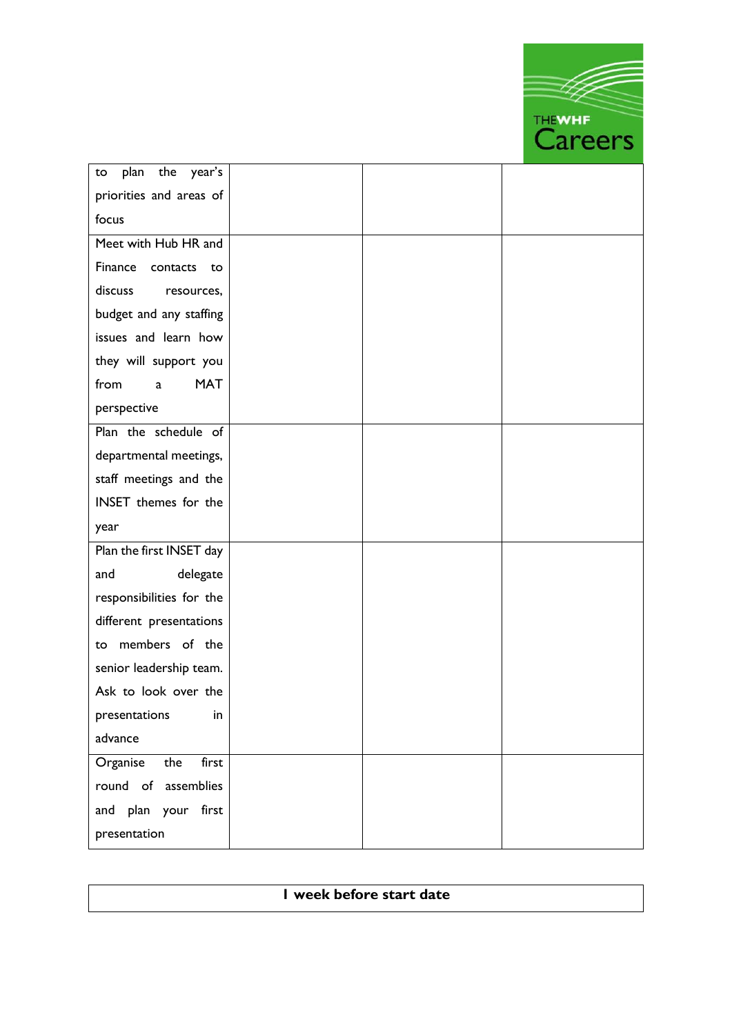THEWHE to plan the year's priorities and areas of focus Meet with Hub HR and Finance contacts to discuss resources, budget and any staffing issues and learn how they will support you from a MAT perspective Plan the schedule of departmental meetings, staff meetings and the INSET themes for the year Plan the first INSET day and delegate responsibilities for the different presentations to members of the senior leadership team. Ask to look over the presentations in advance Organise the first round of assemblies and plan your first presentation

| I week before start date |  |
|--------------------------|--|
|                          |  |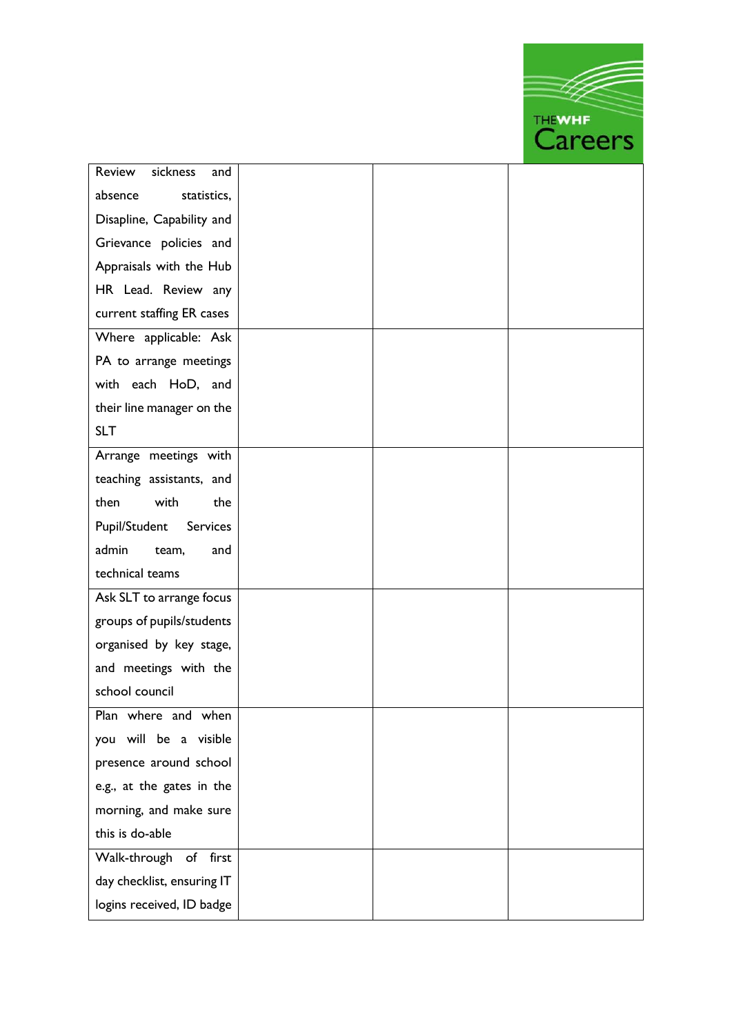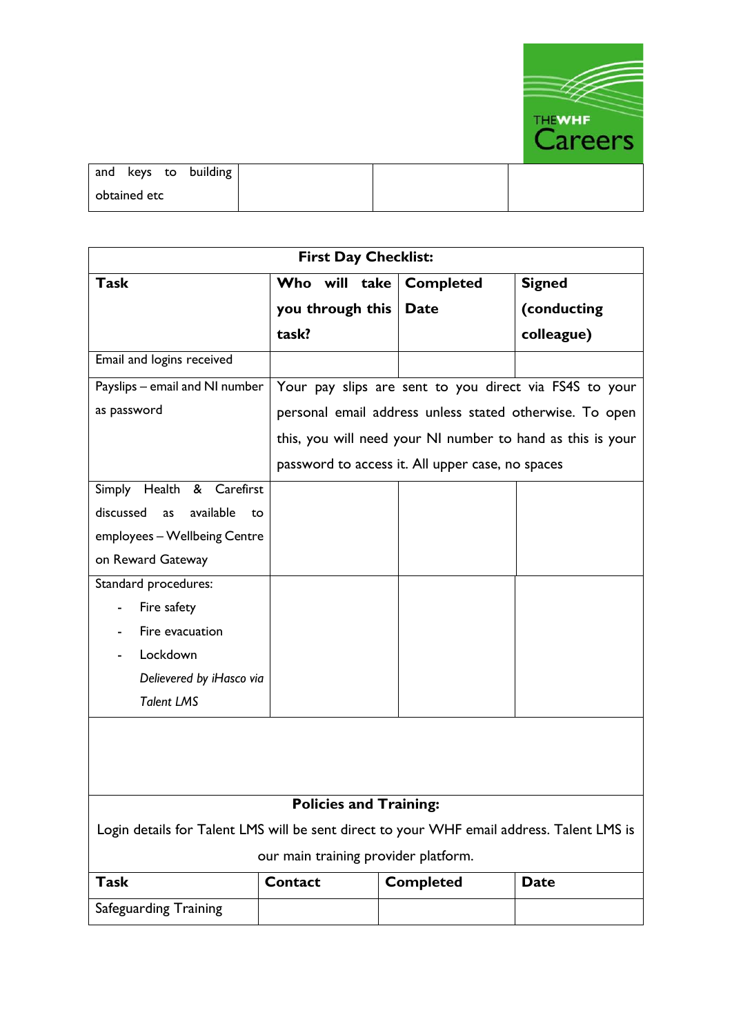

| and keys to building |  |  |
|----------------------|--|--|
| obtained etc         |  |  |

| <b>First Day Checklist:</b>                                                               |                  |                                                            |               |
|-------------------------------------------------------------------------------------------|------------------|------------------------------------------------------------|---------------|
| <b>Task</b>                                                                               | Who will take    | <b>Completed</b>                                           | <b>Signed</b> |
|                                                                                           | you through this | <b>Date</b>                                                | (conducting   |
|                                                                                           | task?            |                                                            | colleague)    |
| Email and logins received                                                                 |                  |                                                            |               |
| Payslips - email and NI number                                                            |                  | Your pay slips are sent to you direct via FS4S to your     |               |
| as password                                                                               |                  | personal email address unless stated otherwise. To open    |               |
|                                                                                           |                  | this, you will need your NI number to hand as this is your |               |
|                                                                                           |                  | password to access it. All upper case, no spaces           |               |
| Simply Health & Carefirst                                                                 |                  |                                                            |               |
| discussed<br>available<br>as<br>to                                                        |                  |                                                            |               |
| employees - Wellbeing Centre                                                              |                  |                                                            |               |
| on Reward Gateway                                                                         |                  |                                                            |               |
| Standard procedures:                                                                      |                  |                                                            |               |
| Fire safety                                                                               |                  |                                                            |               |
| Fire evacuation                                                                           |                  |                                                            |               |
| Lockdown                                                                                  |                  |                                                            |               |
| Delievered by iHasco via                                                                  |                  |                                                            |               |
| <b>Talent LMS</b>                                                                         |                  |                                                            |               |
|                                                                                           |                  |                                                            |               |
| <b>Policies and Training:</b>                                                             |                  |                                                            |               |
| Login details for Talent LMS will be sent direct to your WHF email address. Talent LMS is |                  |                                                            |               |
| our main training provider platform.                                                      |                  |                                                            |               |
| <b>Task</b>                                                                               | <b>Contact</b>   | <b>Completed</b>                                           | <b>Date</b>   |
| Safeguarding Training                                                                     |                  |                                                            |               |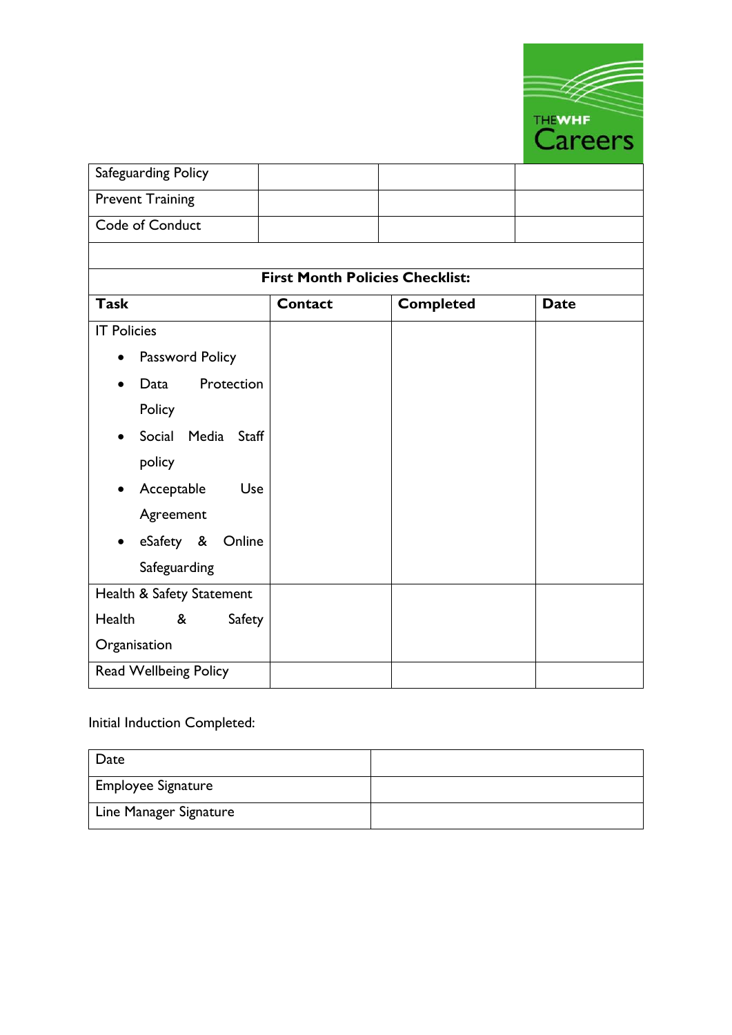

| Safeguarding Policy            |                                        |                  |             |
|--------------------------------|----------------------------------------|------------------|-------------|
| <b>Prevent Training</b>        |                                        |                  |             |
| Code of Conduct                |                                        |                  |             |
|                                |                                        |                  |             |
|                                | <b>First Month Policies Checklist:</b> |                  |             |
| <b>Task</b>                    | <b>Contact</b>                         | <b>Completed</b> | <b>Date</b> |
| <b>IT Policies</b>             |                                        |                  |             |
| Password Policy                |                                        |                  |             |
| Protection<br>Data             |                                        |                  |             |
| Policy                         |                                        |                  |             |
| Social Media<br>Staff          |                                        |                  |             |
| policy                         |                                        |                  |             |
| Acceptable<br>Use<br>$\bullet$ |                                        |                  |             |
| Agreement                      |                                        |                  |             |
| eSafety &<br>Online            |                                        |                  |             |
| Safeguarding                   |                                        |                  |             |
| Health & Safety Statement      |                                        |                  |             |
| Health<br>&<br>Safety          |                                        |                  |             |
| Organisation                   |                                        |                  |             |
| Read Wellbeing Policy          |                                        |                  |             |

# Initial Induction Completed:

| Date                      |  |
|---------------------------|--|
| <b>Employee Signature</b> |  |
| Line Manager Signature    |  |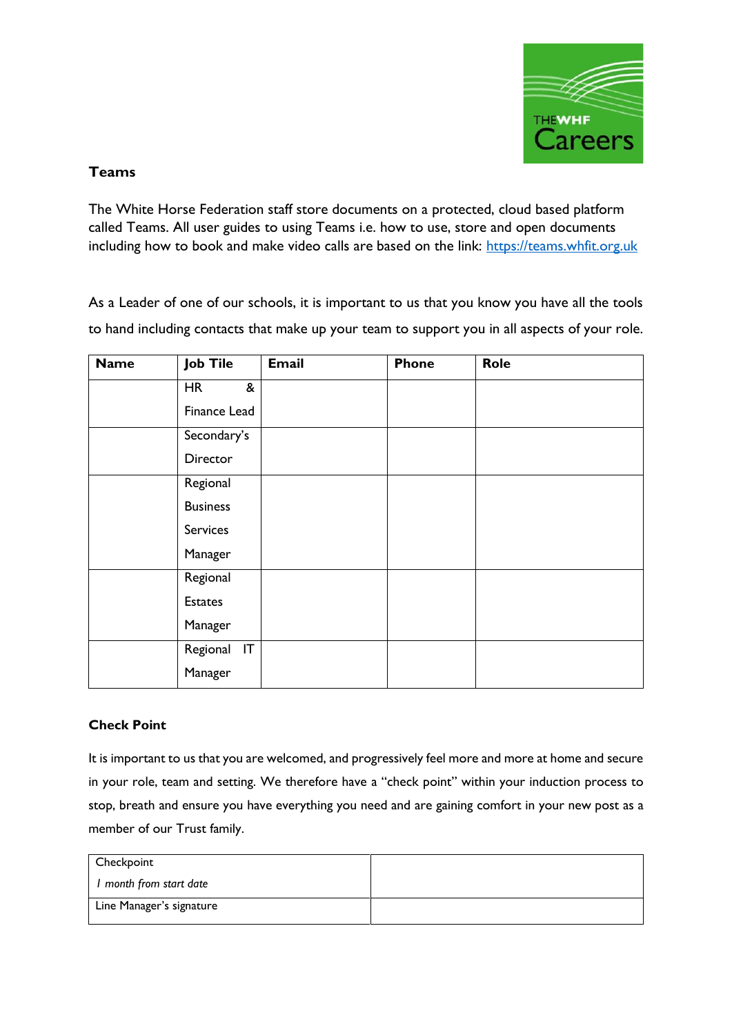

# **Teams**

The White Horse Federation staff store documents on a protected, cloud based platform called Teams. All user guides to using Teams i.e. how to use, store and open documents including how to book and make video calls are based on the link: [https://teams.whfit.org.uk](https://teams.whfit.org.uk/)

As a Leader of one of our schools, it is important to us that you know you have all the tools to hand including contacts that make up your team to support you in all aspects of your role.

| <b>Name</b> | <b>Job Tile</b> | <b>Email</b> | <b>Phone</b> | Role |
|-------------|-----------------|--------------|--------------|------|
|             | <b>HR</b><br>&  |              |              |      |
|             | Finance Lead    |              |              |      |
|             | Secondary's     |              |              |      |
|             | Director        |              |              |      |
|             | Regional        |              |              |      |
|             | <b>Business</b> |              |              |      |
|             | <b>Services</b> |              |              |      |
|             | Manager         |              |              |      |
|             | Regional        |              |              |      |
|             | <b>Estates</b>  |              |              |      |
|             | Manager         |              |              |      |
|             | IT<br>Regional  |              |              |      |
|             | Manager         |              |              |      |

# **Check Point**

It is important to us that you are welcomed, and progressively feel more and more at home and secure in your role, team and setting. We therefore have a "check point" within your induction process to stop, breath and ensure you have everything you need and are gaining comfort in your new post as a member of our Trust family.

| Checkpoint               |  |
|--------------------------|--|
| I month from start date  |  |
| Line Manager's signature |  |